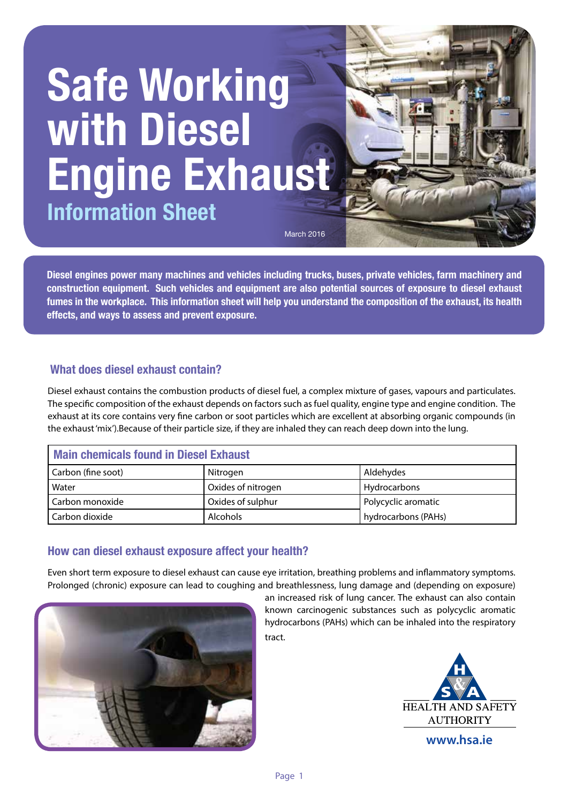# **Safe Working with Diesel Engine Exhaust Information Sheet**

March 2016

**Diesel engines power many machines and vehicles including trucks, buses, private vehicles, farm machinery and construction equipment. Such vehicles and equipment are also potential sources of exposure to diesel exhaust fumes in the workplace. This information sheet will help you understand the composition of the exhaust, its health effects, and ways to assess and prevent exposure.**

# **What does diesel exhaust contain?**

Diesel exhaust contains the combustion products of diesel fuel, a complex mixture of gases, vapours and particulates. The specific composition of the exhaust depends on factors such as fuel quality, engine type and engine condition. The exhaust at its core contains very fine carbon or soot particles which are excellent at absorbing organic compounds (in the exhaust 'mix').Because of their particle size, if they are inhaled they can reach deep down into the lung.

| <b>Main chemicals found in Diesel Exhaust</b> |                    |                     |  |
|-----------------------------------------------|--------------------|---------------------|--|
| Carbon (fine soot)                            | Nitrogen           | Aldehydes           |  |
| Water                                         | Oxides of nitrogen | Hydrocarbons        |  |
| Carbon monoxide                               | Oxides of sulphur  | Polycyclic aromatic |  |
| Carbon dioxide                                | <b>Alcohols</b>    | hydrocarbons (PAHs) |  |

# **How can diesel exhaust exposure affect your health?**

Even short term exposure to diesel exhaust can cause eye irritation, breathing problems and inflammatory symptoms. Prolonged (chronic) exposure can lead to coughing and breathlessness, lung damage and (depending on exposure)



an increased risk of lung cancer. The exhaust can also contain known carcinogenic substances such as polycyclic aromatic hydrocarbons (PAHs) which can be inhaled into the respiratory tract.



**Jan 2016**

**www.hsa.ie**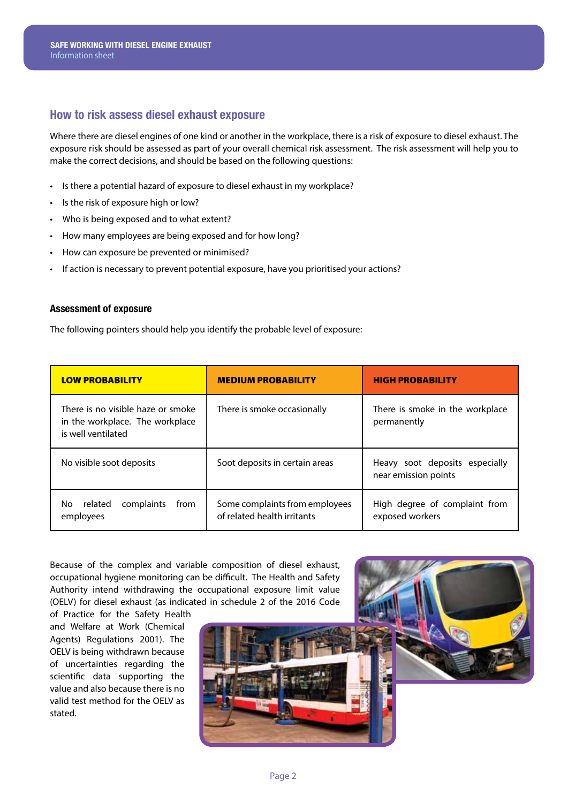### **How to risk assess diesel exhaust exposure**

Where there are diesel engines of one kind or another in the workplace, there is a risk of exposure to diesel exhaust. The exposure risk should be assessed as part of your overall chemical risk assessment. The risk assessment will help you to make the correct decisions, and should be based on the following questions:

- Is there a potential hazard of exposure to diesel exhaust in my workplace?
- Is the risk of exposure high or low?
- Who is being exposed and to what extent?
- How many employees are being exposed and for how long?
- How can exposure be prevented or minimised?
- If action is necessary to prevent potential exposure, have you prioritised your actions?

#### **Assessment of exposure**

The following pointers should help you identify the probable level of exposure:

| <b>LOW PROBABILITY</b>                                                                     | <b>MEDIUM PROBABILITY</b>                                     | <b>HIGH PROBABILITY</b>                                |
|--------------------------------------------------------------------------------------------|---------------------------------------------------------------|--------------------------------------------------------|
| There is no visible haze or smoke<br>in the workplace. The workplace<br>is well ventilated | There is smoke occasionally                                   | There is smoke in the workplace<br>permanently         |
| No visible soot deposits                                                                   | Soot deposits in certain areas                                | Heavy soot deposits especially<br>near emission points |
| complaints<br>related<br>No.<br>from<br>employees                                          | Some complaints from employees<br>of related health irritants | High degree of complaint from<br>exposed workers       |

Because of the complex and variable composition of diesel exhaust, occupational hygiene monitoring can be difficult. The Health and Safety Authority intend withdrawing the occupational exposure limit value (OELV) for diesel exhaust (as indicated in schedule 2 of the 2016 Code

of Practice for the Safety Health and Welfare at Work (Chemical Agents) Regulations 2001). The OELV is being withdrawn because of uncertainties regarding the scientific data supporting the value and also because there is no valid test method for the OELV as stated.



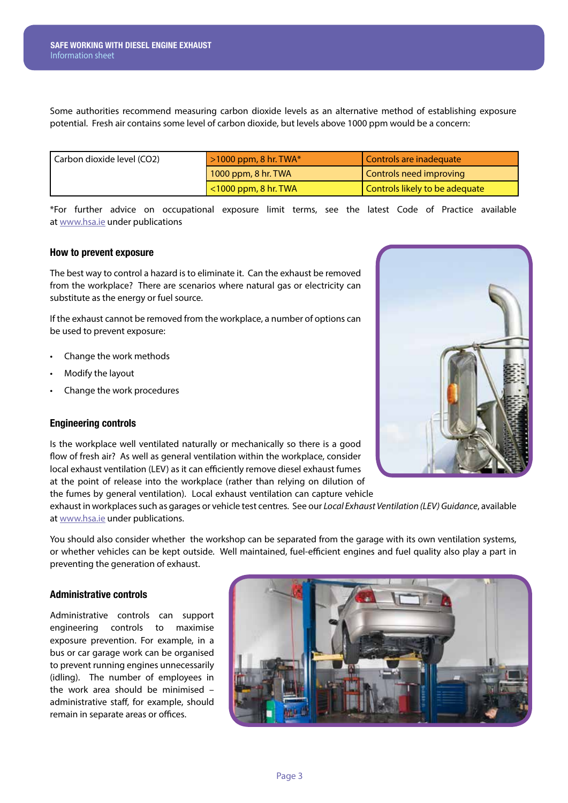Some authorities recommend measuring carbon dioxide levels as an alternative method of establishing exposure potential. Fresh air contains some level of carbon dioxide, but levels above 1000 ppm would be a concern:

| Carbon dioxide level (CO2) | $>1000$ ppm, 8 hr. TWA*    | Controls are inadequate        |
|----------------------------|----------------------------|--------------------------------|
|                            | $1000$ ppm, 8 hr. TWA      | Controls need improving        |
|                            | $\leq 1000$ ppm, 8 hr. TWA | Controls likely to be adequate |

\*For further advice on occupational exposure limit terms, see the latest Code of Practice available at www.hsa.ie under publications

#### **How to prevent exposure**

The best way to control a hazard is to eliminate it. Can the exhaust be removed from the workplace? There are scenarios where natural gas or electricity can substitute as the energy or fuel source.

If the exhaust cannot be removed from the workplace, a number of options can be used to prevent exposure:

- Change the work methods
- Modify the layout
- Change the work procedures

#### **Engineering controls**

Is the workplace well ventilated naturally or mechanically so there is a good flow of fresh air? As well as general ventilation within the workplace, consider local exhaust ventilation (LEV) as it can efficiently remove diesel exhaust fumes at the point of release into the workplace (rather than relying on dilution of the fumes by general ventilation). Local exhaust ventilation can capture vehicle

exhaust in workplaces such as garages or vehicle test centres. See our *Local Exhaust Ventilation (LEV) Guidance*, available at www.hsa.ie under publications.

You should also consider whether the workshop can be separated from the garage with its own ventilation systems, or whether vehicles can be kept outside. Well maintained, fuel-efficient engines and fuel quality also play a part in preventing the generation of exhaust.

#### **Administrative controls**

Administrative controls can support engineering controls to maximise exposure prevention. For example, in a bus or car garage work can be organised to prevent running engines unnecessarily (idling). The number of employees in the work area should be minimised – administrative staff, for example, should remain in separate areas or offices.